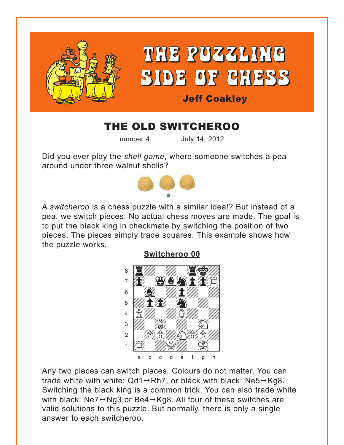

## THE OLD SWITCHEROO

number 4

July 14, 2012

Did you ever play the shell game, where someone switches a pea around under three walnut shells?



A switcheroo is a chess puzzle with a similar idea!? But instead of a pea, we switch pieces. No actual chess moves are made. The goal is to put the black king in checkmate by switching the position of two pieces. The pieces simply trade squares. This example shows how the puzzle works.



Any two pieces can switch places. Colours do not matter. You can trade white with white:  $Qd1 \leftrightarrow Rh7$ , or black with black: Ne5 $\leftrightarrow$ Kg8. Switching the black king is a common trick. You can also trade white with black: Ne7→Ng3 or Be4→Kg8. All four of these switches are valid solutions to this puzzle. But normally, there is only a single answer to each switcheroo

Switcheroo 00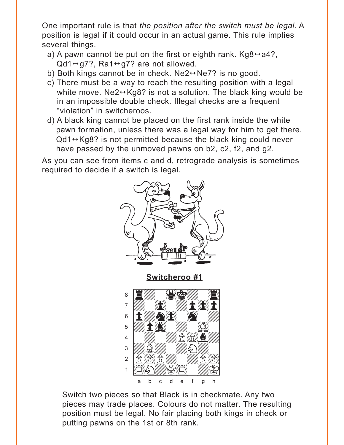<span id="page-1-0"></span>One important rule is that the position after the switch must be legal. A position is legal if it could occur in an actual game. This rule implies several things.

- a) A pawn cannot be put on the first or eighth rank. Kg8 $\leftrightarrow$  a4?,  $Qd1 \leftrightarrow q7$ ?, Ra1 $\leftrightarrow q7$ ? are not allowed.
- b) Both kings cannot be in check.  $Ne2 \leftrightarrow Ne7$ ? is no good.
- c) There must be a way to reach the resulting position with a legal white move.  $Ne2 \leftrightarrow Kg8$ ? is not a solution. The black king would be in an impossible double check. Illegal checks are a frequent "violation" in switcheroos.
- d) A black king cannot be placed on the first rank inside the white pawn formation, unless there was a legal way for him to get there.  $Qd1 \leftrightarrow Kq8$ ? is not permitted because the black king could never have passed by the unmoved pawns on b2, c2, f2, and g2.

As you can see from items c and d, retrograde analysis is sometimes required to decide if a switch is legal.



Switch two pieces so that Black is in checkmate. Any two pieces may trade places. Colours do not matter. The resulting position must be legal. No fair placing both kings in check or putting pawns on the 1st or 8th rank.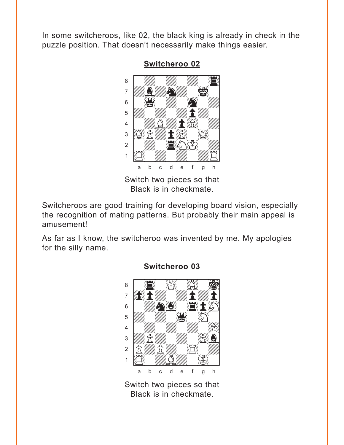<span id="page-2-0"></span>In some switcheroos, like 02, the black king is already in check in the puzzle position. That doesn't necessarily make things easier.

**Switcheroo 02** 



Black is in checkmate.

Switcheroos are good training for developing board vision, especially the recognition of mating patterns. But probably their main appeal is amusement!

As far as I know, the switcheroo was invented by me. My apologies for the silly name.



#### Switcheroo 03

Switch two pieces so that Black is in checkmate.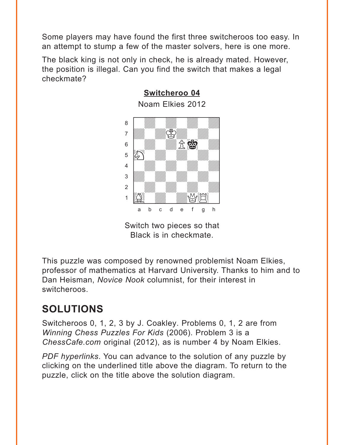<span id="page-3-0"></span>Some players may have found the first three switcheroos too easy. In an attempt to stump a few of the master solvers, here is one more.

**[Switcheroo 04](#page-5-0)**

The black king is not only in check, he is already mated. However, the position is illegal. Can you find the switch that makes a legal checkmate?



Switch two pieces so that Black is in checkmate.

This puzzle was composed by renowned problemist Noam Elkies, professor of mathematics at Harvard University. Thanks to him and to Dan Heisman, *Novice Nook* columnist, for their interest in switcheroos.

# **SOLUTIONS**

Switcheroos 0, 1, 2, 3 by J. Coakley. Problems 0, 1, 2 are from *Winning Chess Puzzles For Kids* (2006). Problem 3 is a *ChessCafe.com* original (2012), as is number 4 by Noam Elkies.

*PDF hyperlinks*. You can advance to the solution of any puzzle by clicking on the underlined title above the diagram. To return to the puzzle, click on the title above the solution diagram.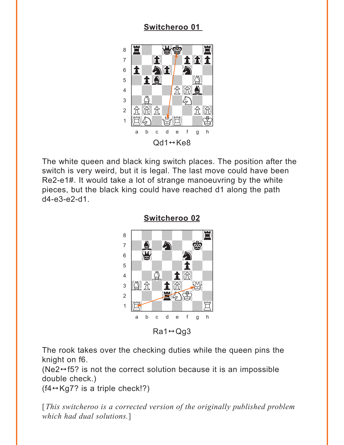## Switcheroo 01

<span id="page-4-0"></span>

The white queen and black king switch places. The position after the switch is very weird, but it is legal. The last move could have been Re2-e1#. It would take a lot of strange manoeuvring by the white pieces, but the black king could have reached d1 along the path d4-e3-e2-d1.



Switcheroo 02

 $Ra1 \leftrightarrow Qq3$ 

The rook takes over the checking duties while the queen pins the knight on f6.

(Ne2 $\leftrightarrow$  f5? is not the correct solution because it is an impossible double check.)

 $(f4 \leftrightarrow Kg7$ ? is a triple check!?)

[This switcheroo is a corrected version of the originally published problem which had dual solutions.]